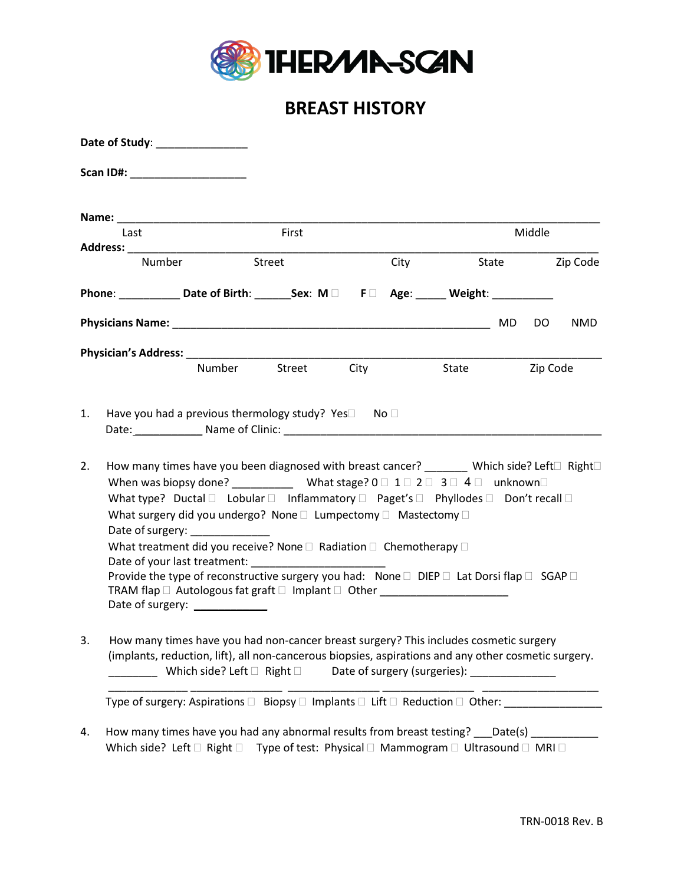

# **BREAST HISTORY**

| Date of Study: National Property of Study: |                                                                                                                                                                                                                                                                                                                                                                                                                                                                                                                                                                                                                                                                                                                                                                                                                                                                                                                                                                   |        |        |      |      |        |                |          |            |  |
|--------------------------------------------|-------------------------------------------------------------------------------------------------------------------------------------------------------------------------------------------------------------------------------------------------------------------------------------------------------------------------------------------------------------------------------------------------------------------------------------------------------------------------------------------------------------------------------------------------------------------------------------------------------------------------------------------------------------------------------------------------------------------------------------------------------------------------------------------------------------------------------------------------------------------------------------------------------------------------------------------------------------------|--------|--------|------|------|--------|----------------|----------|------------|--|
|                                            | Scan ID#: ________________________                                                                                                                                                                                                                                                                                                                                                                                                                                                                                                                                                                                                                                                                                                                                                                                                                                                                                                                                |        |        |      |      |        |                |          |            |  |
|                                            |                                                                                                                                                                                                                                                                                                                                                                                                                                                                                                                                                                                                                                                                                                                                                                                                                                                                                                                                                                   |        |        |      |      |        |                |          |            |  |
| Last                                       |                                                                                                                                                                                                                                                                                                                                                                                                                                                                                                                                                                                                                                                                                                                                                                                                                                                                                                                                                                   |        | First  |      |      | Middle |                |          |            |  |
| Number                                     |                                                                                                                                                                                                                                                                                                                                                                                                                                                                                                                                                                                                                                                                                                                                                                                                                                                                                                                                                                   |        | Street |      | City |        | State Zip Code |          |            |  |
|                                            | Phone: _____________Date of Birth: ________Sex: M □ F □ Age: ______ Weight: ___________                                                                                                                                                                                                                                                                                                                                                                                                                                                                                                                                                                                                                                                                                                                                                                                                                                                                           |        |        |      |      |        |                |          |            |  |
|                                            |                                                                                                                                                                                                                                                                                                                                                                                                                                                                                                                                                                                                                                                                                                                                                                                                                                                                                                                                                                   |        |        |      |      |        | MD             | DO.      | <b>NMD</b> |  |
|                                            |                                                                                                                                                                                                                                                                                                                                                                                                                                                                                                                                                                                                                                                                                                                                                                                                                                                                                                                                                                   |        |        |      |      |        |                |          |            |  |
|                                            |                                                                                                                                                                                                                                                                                                                                                                                                                                                                                                                                                                                                                                                                                                                                                                                                                                                                                                                                                                   | Number | Street | City |      | State  |                | Zip Code |            |  |
| 2.                                         | Date: Name of Clinic: Name of Clinic: Name of Clinic: Name of Clinic: Name of Clinic: Name of Clinic: Name of Clinic: Name of Clinic: Name of Clinic: Name of Clinic: Name of Clinic: Name of Clinic: Name of Clinic: Name of<br>How many times have you been diagnosed with breast cancer? _______ Which side? Left□ Right□<br>When was biopsy done? _________________ What stage? 0 $\Box$ 1 $\Box$ 2 $\Box$ 3 $\Box$ 4 $\Box$ unknown $\Box$<br>What type? Ductal $\square$ Lobular $\square$ Inflammatory $\square$ Paget's $\square$ Phyllodes $\square$ Don't recall $\square$<br>What surgery did you undergo? None □ Lumpectomy □ Mastectomy □<br>Date of surgery:<br>What treatment did you receive? None □ Radiation □ Chemotherapy □<br>Provide the type of reconstructive surgery you had: None □ DIEP □ Lat Dorsi flap □ SGAP □<br>TRAM flap □ Autologous fat graft □ Implant □ Other ____________________________<br>Date of surgery: _____________ |        |        |      |      |        |                |          |            |  |
| 3.                                         | How many times have you had non-cancer breast surgery? This includes cosmetic surgery<br>(implants, reduction, lift), all non-cancerous biopsies, aspirations and any other cosmetic surgery.<br>Which side? Left $\square$ Right $\square$<br>Date of surgery (surgeries): National Contract Control Contract Control Control Control Control Control Control Co<br>Type of surgery: Aspirations □ Biopsy □ Implants □ Lift □ Reduction □ Other: ______________________                                                                                                                                                                                                                                                                                                                                                                                                                                                                                          |        |        |      |      |        |                |          |            |  |
| 4.                                         | How many times have you had any abnormal results from breast testing? ___Date(s) ___________<br>Which side? Left $\square$ Right $\square$ Type of test: Physical $\square$ Mammogram $\square$ Ultrasound $\square$ MRI $\square$                                                                                                                                                                                                                                                                                                                                                                                                                                                                                                                                                                                                                                                                                                                                |        |        |      |      |        |                |          |            |  |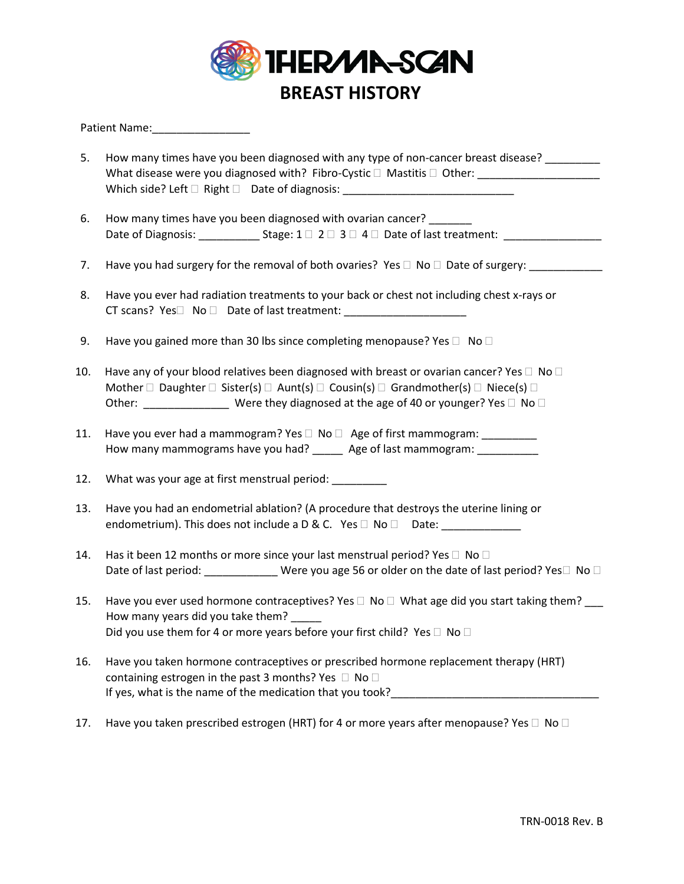

#### Patient Name:

- 5. How many times have you been diagnosed with any type of non-cancer breast disease? What disease were you diagnosed with? Fibro-Cystic  $\Box$  Mastitis  $\Box$  Other: Which side? Left  $\Box$  Right  $\Box$  Date of diagnosis: \_\_\_\_\_\_\_\_\_\_\_\_\_\_\_\_\_\_\_\_\_\_\_\_\_\_\_\_\_
- 6. How many times have you been diagnosed with ovarian cancer? Date of Diagnosis:  $\Box$  Stage:  $1 \Box 2 \Box 3 \Box 4 \Box 2$  Date of last treatment:
- 7. Have you had surgery for the removal of both ovaries? Yes  $\Box$  No  $\Box$  Date of surgery:
- 8. Have you ever had radiation treatments to your back or chest not including chest x-rays or CT scans?  $Yes \Box \ \ No \ \Box \ \$  Date of last treatment:
- 9. Have you gained more than 30 lbs since completing menopause? Yes  $\Box$  No  $\Box$
- 10. Have any of your blood relatives been diagnosed with breast or ovarian cancer? Yes  $\Box$  No  $\Box$ Mother  $\Box$  Daughter  $\Box$  Sister(s)  $\Box$  Aunt(s)  $\Box$  Cousin(s)  $\Box$  Grandmother(s)  $\Box$  Niece(s)  $\Box$ Other:  $\sqrt{\frac{1}{2}$  Were they diagnosed at the age of 40 or younger? Yes  $\Box$  No  $\Box$
- 11. Have you ever had a mammogram? Yes  $\Box$  No  $\Box$  Age of first mammogram: \_\_\_\_\_\_\_\_\_ How many mammograms have you had? \_\_\_\_\_\_ Age of last mammogram: \_\_\_\_\_\_\_\_\_\_
- 12. What was your age at first menstrual period: \_\_\_\_\_\_\_\_\_
- 13. Have you had an endometrial ablation? (A procedure that destroys the uterine lining or endometrium). This does not include a  $D & C$ . Yes  $\Box$  No  $\Box$  Date:
- 14. Has it been 12 months or more since your last menstrual period? Yes  $\Box$  No  $\Box$ Date of last period:  $\Box$  Were you age 56 or older on the date of last period? Yes  $\Box$  No  $\Box$
- 15. Have you ever used hormone contraceptives? Yes  $\Box$  No  $\Box$  What age did you start taking them? How many years did you take them? Did you use them for 4 or more years before your first child? Yes  $\Box$  No  $\Box$
- 16. Have you taken hormone contraceptives or prescribed hormone replacement therapy (HRT) containing estrogen in the past 3 months? Yes  $\Box$  No  $\Box$ If yes, what is the name of the medication that you took? \_\_\_\_\_\_\_\_\_\_\_\_\_\_\_\_\_\_\_\_\_\_
- 17. Have you taken prescribed estrogen (HRT) for 4 or more years after menopause? Yes  $\Box$  No  $\Box$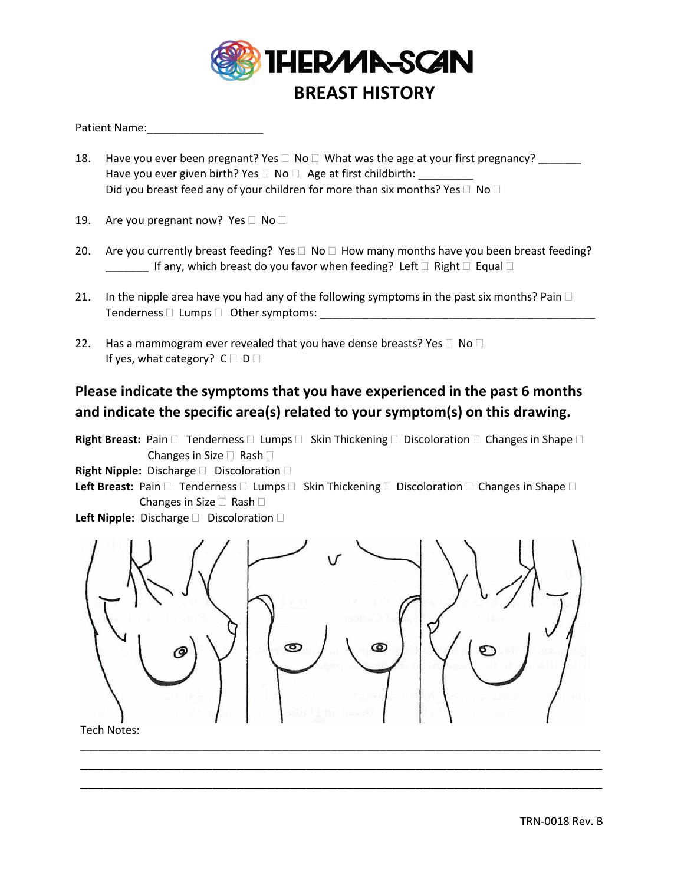

#### Patient Name:

- 18. Have you ever been pregnant? Yes  $\Box$  No  $\Box$  What was the age at your first pregnancy? Have you ever given birth? Yes  $\Box$  No  $\Box$  Age at first childbirth: Did you breast feed any of your children for more than six months? Yes  $\Box$  No  $\Box$
- 19. Are you pregnant now? Yes  $\Box$  No  $\Box$
- 20. Are you currently breast feeding? Yes  $\Box$  No  $\Box$  How many months have you been breast feeding?  $\Box$  If any, which breast do you favor when feeding? Left  $\Box$  Right  $\Box$  Equal  $\Box$
- 21. In the nipple area have you had any of the following symptoms in the past six months? Pain  $\Box$ Tenderness Lumps Other symptoms: \_\_\_\_\_\_\_\_\_\_\_\_\_\_\_\_\_\_\_\_\_\_\_\_\_\_\_\_\_\_\_\_\_\_\_\_\_\_\_\_\_\_\_\_\_
- 22. Has a mammogram ever revealed that you have dense breasts? Yes  $\Box$  No  $\Box$ If yes, what category?  $C \square D \square$

### **Please indicate the symptoms that you have experienced in the past 6 months and indicate the specific area(s) related to your symptom(s) on this drawing.**

Right Breast: Pain  $\Box$  Tenderness  $\Box$  Lumps  $\Box$  Skin Thickening  $\Box$  Discoloration  $\Box$  Changes in Shape  $\Box$ Changes in Size  $\Box$  Rash  $\Box$ 

**Right Nipple:** Discharge **Discoloration** D

Left Breast: Pain  $\Box$  Tenderness  $\Box$  Lumps  $\Box$  Skin Thickening  $\Box$  Discoloration  $\Box$  Changes in Shape  $\Box$ **Changes in Size**  $\Box$  **Rash**  $\Box$ 

Left Nipple: Discharge **Discoloration** D



\_\_\_\_\_\_\_\_\_\_\_\_\_\_\_\_\_\_\_\_\_\_\_\_\_\_\_\_\_\_\_\_\_\_\_\_\_\_\_\_\_\_\_\_\_\_\_\_\_\_\_\_\_\_\_\_\_\_\_\_\_\_\_\_\_\_\_ \_\_\_\_\_\_\_\_\_\_\_\_\_\_\_\_\_\_\_\_\_\_\_\_\_\_\_\_\_\_\_\_\_\_\_\_\_\_\_\_\_\_\_\_\_\_\_\_\_\_\_\_\_\_\_\_\_\_\_\_\_\_\_\_\_\_\_